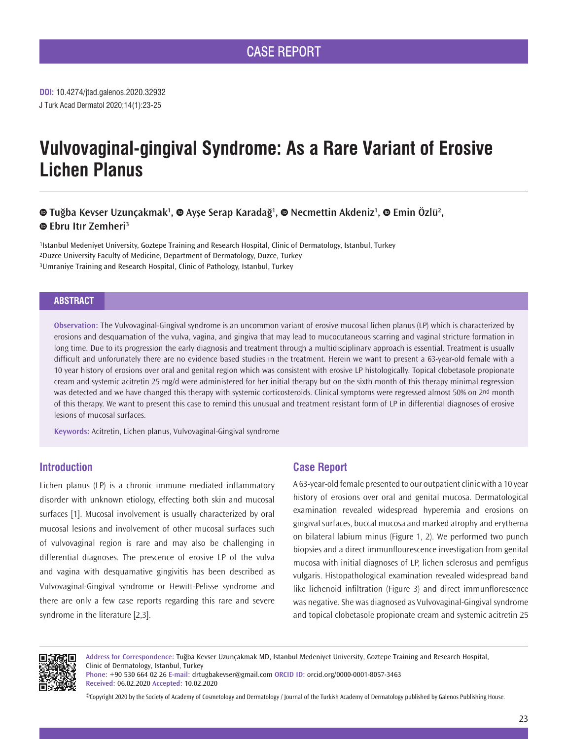# **Vulvovaginal-gingival Syndrome: As a Rare Variant of Erosive Lichen Planus**

# **TuğbaKevser Uzunçakmak<sup>ı</sup>, ● Ayşe Serap Karadağ<sup>ı</sup>, ● Necmettin Akdeniz<sup>ı</sup>, ● Emin Özlü<sup>2</sup>, Ebru Itır Zemheri<sup>3</sup>**

1Istanbul Medeniyet University, Goztepe Training and Research Hospital, Clinic of Dermatology, Istanbul, Turkey 2Duzce University Faculty of Medicine, Department of Dermatology, Duzce, Turkey 3Umraniye Training and Research Hospital, Clinic of Pathology, Istanbul, Turkey

#### **ABSTRACT**

**Observation:** The Vulvovaginal-Gingival syndrome is an uncommon variant of erosive mucosal lichen planus (LP) which is characterized by erosions and desquamation of the vulva, vagina, and gingiva that may lead to mucocutaneous scarring and vaginal stricture formation in long time. Due to its progression the early diagnosis and treatment through a multidisciplinary approach is essential. Treatment is usually difficult and unforunately there are no evidence based studies in the treatment. Herein we want to present a 63-year-old female with a 10 year history of erosions over oral and genital region which was consistent with erosive LP histologically. Topical clobetasole propionate cream and systemic acitretin 25 mg/d were administered for her initial therapy but on the sixth month of this therapy minimal regression was detected and we have changed this therapy with systemic corticosteroids. Clinical symptoms were regressed almost 50% on 2<sup>nd</sup> month of this therapy. We want to present this case to remind this unusual and treatment resistant form of LP in differential diagnoses of erosive lesions of mucosal surfaces.

**Keywords:** Acitretin, Lichen planus, Vulvovaginal-Gingival syndrome

# **Introduction**

Lichen planus (LP) is a chronic immune mediated inflammatory disorder with unknown etiology, effecting both skin and mucosal surfaces [1]. Mucosal involvement is usually characterized by oral mucosal lesions and involvement of other mucosal surfaces such of vulvovaginal region is rare and may also be challenging in differential diagnoses. The prescence of erosive LP of the vulva and vagina with desquamative gingivitis has been described as Vulvovaginal-Gingival syndrome or Hewitt-Pelisse syndrome and there are only a few case reports regarding this rare and severe syndrome in the literature [2,3].

# **Case Report**

A 63-year-old female presented to our outpatient clinic with a 10 year history of erosions over oral and genital mucosa. Dermatological examination revealed widespread hyperemia and erosions on gingival surfaces, buccal mucosa and marked atrophy and erythema on bilateral labium minus (Figure 1, 2). We performed two punch biopsies and a direct immunflourescence investigation from genital mucosa with initial diagnoses of LP, lichen sclerosus and pemfigus vulgaris. Histopathological examination revealed widespread band like lichenoid infiltration (Figure 3) and direct immunflorescence was negative. She was diagnosed as Vulvovaginal-Gingival syndrome and topical clobetasole propionate cream and systemic acitretin 25



**Address for Correspondence:** Tuğba Kevser Uzunçakmak MD, Istanbul Medeniyet University, Goztepe Training and Research Hospital, Clinic of Dermatology, Istanbul, Turkey

**Phone:** +90 530 664 02 26 **E-mail:** drtugbakevser@gmail.com **ORCID ID:** orcid.org/0000-0001-8057-3463 **Received:** 06.02.2020 **Accepted:** 10.02.2020

©Copyright 2020 by the Society of Academy of Cosmetology and Dermatology / Journal of the Turkish Academy of Dermatology published by Galenos Publishing House.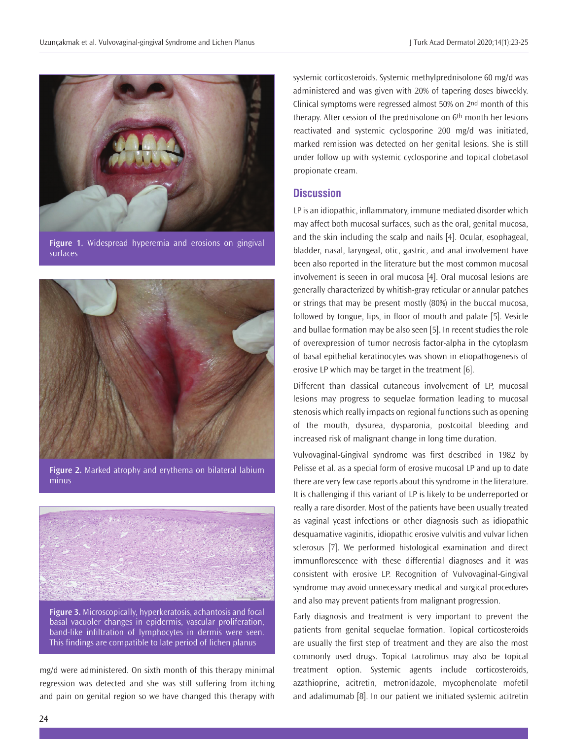

**Figure 1.** Widespread hyperemia and erosions on gingival surfaces



**Figure 2.** Marked atrophy and erythema on bilateral labium minus



**Figure 3.** Microscopically, hyperkeratosis, achantosis and focal basal vacuoler changes in epidermis, vascular proliferation, band-like infiltration of lymphocytes in dermis were seen. This findings are compatible to late period of lichen planus

mg/d were administered. On sixth month of this therapy minimal regression was detected and she was still suffering from itching and pain on genital region so we have changed this therapy with

systemic corticosteroids. Systemic methylprednisolone 60 mg/d was administered and was given with 20% of tapering doses biweekly. Clinical symptoms were regressed almost 50% on 2nd month of this therapy. After cession of the prednisolone on 6th month her lesions reactivated and systemic cyclosporine 200 mg/d was initiated, marked remission was detected on her genital lesions. She is still under follow up with systemic cyclosporine and topical clobetasol propionate cream.

## **Discussion**

LP is an idiopathic, inflammatory, immune mediated disorder which may affect both mucosal surfaces, such as the oral, genital mucosa, and the skin including the scalp and nails [4]. Ocular, esophageal, bladder, nasal, laryngeal, otic, gastric, and anal involvement have been also reported in the literature but the most common mucosal involvement is seeen in oral mucosa [4]. Oral mucosal lesions are generally characterized by whitish-gray reticular or annular patches or strings that may be present mostly (80%) in the buccal mucosa, followed by tongue, lips, in floor of mouth and palate [5]. Vesicle and bullae formation may be also seen [5]. In recent studies the role of overexpression of tumor necrosis factor-alpha in the cytoplasm of basal epithelial keratinocytes was shown in etiopathogenesis of erosive LP which may be target in the treatment [6].

Different than classical cutaneous involvement of LP, mucosal lesions may progress to sequelae formation leading to mucosal stenosis which really impacts on regional functions such as opening of the mouth, dysurea, dysparonia, postcoital bleeding and increased risk of malignant change in long time duration.

Vulvovaginal-Gingival syndrome was first described in 1982 by Pelisse et al. as a special form of erosive mucosal LP and up to date there are very few case reports about this syndrome in the literature. It is challenging if this variant of LP is likely to be underreported or really a rare disorder. Most of the patients have been usually treated as vaginal yeast infections or other diagnosis such as idiopathic desquamative vaginitis, idiopathic erosive vulvitis and vulvar lichen sclerosus [7]. We performed histological examination and direct immunflorescence with these differential diagnoses and it was consistent with erosive LP. Recognition of Vulvovaginal-Gingival syndrome may avoid unnecessary medical and surgical procedures and also may prevent patients from malignant progression.

Early diagnosis and treatment is very important to prevent the patients from genital sequelae formation. Topical corticosteroids are usually the first step of treatment and they are also the most commonly used drugs. Topical tacrolimus may also be topical treatment option. Systemic agents include corticosteroids, azathioprine, acitretin, metronidazole, mycophenolate mofetil and adalimumab [8]. In our patient we initiated systemic acitretin